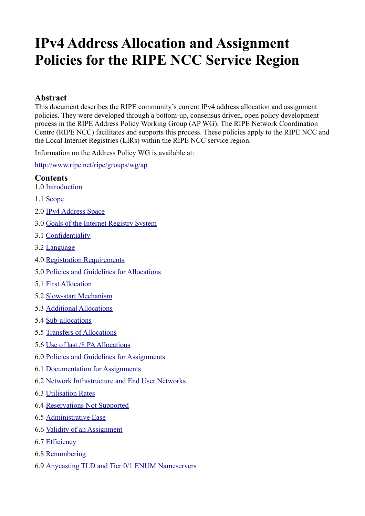# **IPv4 Address Allocation and Assignment Policies for the RIPE NCC Service Region**

#### **Abstract**

This document describes the RIPE community's current IPv4 address allocation and assignment policies. They were developed through a bottom-up, consensus driven, open policy development process in the RIPE Address Policy Working Group (AP WG). The RIPE Network Coordination Centre (RIPE NCC) facilitates and supports this process. These policies apply to the RIPE NCC and the Local Internet Registries (LIRs) within the RIPE NCC service region.

Information on the Address Policy WG is available at:

<http://www.ripe.net/ripe/groups/wg/ap>

#### **Contents**

- 1.0 [Introduction](#page-1-3)
- 1.1 [Scope](#page-1-2)
- 2.0 [IPv4 Address Space](#page-1-1)
- 3.0 [Goals of the Internet Registry System](#page-1-0)
- 3.1 [Confidentiality](#page-2-6)
- 3.2 [Language](#page-2-5)
- 4.0 [Registration Requirements](#page-2-4)
- 5.0 [Policies and Guidelines for Allocations](#page-2-3)
- 5.1 [First Allocation](#page-2-2)
- 5.2 [Slow-start Mechanism](#page-2-1)
- 5.3 [Additional Allocations](#page-2-0)
- 5.4 [Sub-allocations](#page-3-0)
- 5.5 [Transfers of Allocations](#page-4-1)
- 5.6 [Use of last /8 PA Allocations](#page-4-0)
- 6.0 [Policies and Guidelines for Assignments](#page-5-0)
- 6.1 [Documentation for Assignments](#page-6-3)
- 6.2 [Network Infrastructure and End User Networks](#page-6-2)
- 6.3 [Utilisation Rates](#page-6-1)
- 6.4 [Reservations Not Supported](#page-6-0)
- 6.5 [Administrative Ease](#page-7-4)
- 6.6 [Validity of an Assignment](#page-7-3)
- 6.7 [Efficiency](#page-7-2)
- 6.8 [Renumbering](#page-7-1)
- 6.9 [Anycasting TLD and Tier 0/1 ENUM Nameservers](#page-7-0)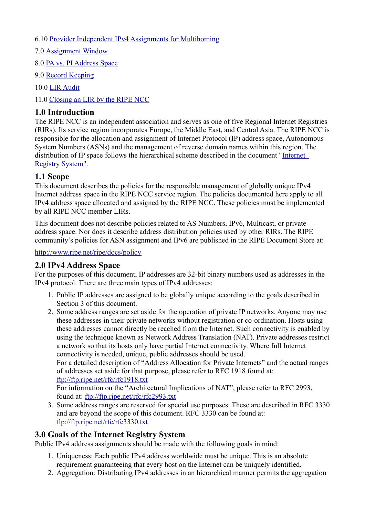- 6.10 [Provider Independent IPv4 Assignments for Multihoming](#page-8-1)
- 7.0 [Assignment Window](#page-8-0)
- 8.0 [PA vs. PI Address Space](#page-9-0)
- 9.0 [Record Keeping](#page-11-2)
- 10.0 [LIR Audit](#page-11-1)
- 11.0 [Closing an LIR by the RIPE NCC](#page-11-0)

#### <span id="page-1-3"></span>**1.0 Introduction**

The RIPE NCC is an independent association and serves as one of five Regional Internet Registries (RIRs). Its service region incorporates Europe, the Middle East, and Central Asia. The RIPE NCC is responsible for the allocation and assignment of Internet Protocol (IP) address space, Autonomous System Numbers (ASNs) and the management of reverse domain names within this region. The distribution of IP space follows the hierarchical scheme described in the document "[Internet](https://www.ripe.net/internet-coordination/internet-governance/internet-technical-community/the-rir-system)  [Registry System"](https://www.ripe.net/internet-coordination/internet-governance/internet-technical-community/the-rir-system).

#### <span id="page-1-2"></span>**1.1 Scope**

This document describes the policies for the responsible management of globally unique IPv4 Internet address space in the RIPE NCC service region. The policies documented here apply to all IPv4 address space allocated and assigned by the RIPE NCC. These policies must be implemented by all RIPE NCC member LIRs.

This document does not describe policies related to AS Numbers, IPv6, Multicast, or private address space. Nor does it describe address distribution policies used by other RIRs. The RIPE community's policies for ASN assignment and IPv6 are published in the RIPE Document Store at:

<http://www.ripe.net/ripe/docs/policy>

## <span id="page-1-1"></span>**2.0 IPv4 Address Space**

For the purposes of this document, IP addresses are 32-bit binary numbers used as addresses in the IPv4 protocol. There are three main types of IPv4 addresses:

- 1. Public IP addresses are assigned to be globally unique according to the goals described in Section 3 of this document.
- 2. Some address ranges are set aside for the operation of private IP networks. Anyone may use these addresses in their private networks without registration or co-ordination. Hosts using these addresses cannot directly be reached from the Internet. Such connectivity is enabled by using the technique known as Network Address Translation (NAT). Private addresses restrict a network so that its hosts only have partial Internet connectivity. Where full Internet connectivity is needed, unique, public addresses should be used.

For a detailed description of "Address Allocation for Private Internets" and the actual ranges of addresses set aside for that purpose, please refer to RFC 1918 found at: <ftp://ftp.ripe.net/rfc/rfc1918.txt>

For information on the "Architectural Implications of NAT", please refer to RFC 2993, found at:<ftp://ftp.ripe.net/rfc/rfc2993.txt>

3. Some address ranges are reserved for special use purposes. These are described in RFC 3330 and are beyond the scope of this document. RFC 3330 can be found at: <ftp://ftp.ripe.net/rfc/rfc3330.txt>

## <span id="page-1-0"></span>**3.0 Goals of the Internet Registry System**

Public IPv4 address assignments should be made with the following goals in mind:

- 1. Uniqueness: Each public IPv4 address worldwide must be unique. This is an absolute requirement guaranteeing that every host on the Internet can be uniquely identified.
- 2. Aggregation: Distributing IPv4 addresses in an hierarchical manner permits the aggregation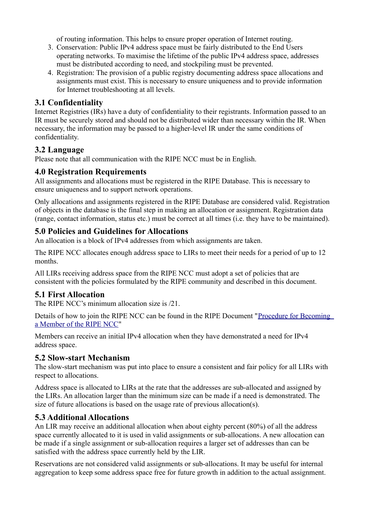of routing information. This helps to ensure proper operation of Internet routing.

- 3. Conservation: Public IPv4 address space must be fairly distributed to the End Users operating networks. To maximise the lifetime of the public IPv4 address space, addresses must be distributed according to need, and stockpiling must be prevented.
- 4. Registration: The provision of a public registry documenting address space allocations and assignments must exist. This is necessary to ensure uniqueness and to provide information for Internet troubleshooting at all levels.

# <span id="page-2-6"></span>**3.1 Confidentiality**

Internet Registries (IRs) have a duty of confidentiality to their registrants. Information passed to an IR must be securely stored and should not be distributed wider than necessary within the IR. When necessary, the information may be passed to a higher-level IR under the same conditions of confidentiality.

## <span id="page-2-5"></span>**3.2 Language**

Please note that all communication with the RIPE NCC must be in English.

## <span id="page-2-4"></span>**4.0 Registration Requirements**

All assignments and allocations must be registered in the RIPE Database. This is necessary to ensure uniqueness and to support network operations.

Only allocations and assignments registered in the RIPE Database are considered valid. Registration of objects in the database is the final step in making an allocation or assignment. Registration data (range, contact information, status etc.) must be correct at all times (i.e. they have to be maintained).

## <span id="page-2-3"></span>**5.0 Policies and Guidelines for Allocations**

An allocation is a block of IPv4 addresses from which assignments are taken.

The RIPE NCC allocates enough address space to LIRs to meet their needs for a period of up to 12 months.

All LIRs receiving address space from the RIPE NCC must adopt a set of policies that are consistent with the policies formulated by the RIPE community and described in this document.

## <span id="page-2-2"></span>**5.1 First Allocation**

The RIPE NCC's minimum allocation size is /21.

Details of how to join the RIPE NCC can be found in the RIPE Document "Procedure for Becoming [a Member of the RIPE NCC"](http://www.ripe.net/lir-services/member-support/become-a-member/becoming-a-member-of-the-ripe-ncc)

Members can receive an initial IPv4 allocation when they have demonstrated a need for IPv4 address space.

## <span id="page-2-1"></span>**5.2 Slow-start Mechanism**

The slow-start mechanism was put into place to ensure a consistent and fair policy for all LIRs with respect to allocations.

Address space is allocated to LIRs at the rate that the addresses are sub-allocated and assigned by the LIRs. An allocation larger than the minimum size can be made if a need is demonstrated. The size of future allocations is based on the usage rate of previous allocation(s).

## <span id="page-2-0"></span>**5.3 Additional Allocations**

An LIR may receive an additional allocation when about eighty percent (80%) of all the address space currently allocated to it is used in valid assignments or sub-allocations. A new allocation can be made if a single assignment or sub-allocation requires a larger set of addresses than can be satisfied with the address space currently held by the LIR.

Reservations are not considered valid assignments or sub-allocations. It may be useful for internal aggregation to keep some address space free for future growth in addition to the actual assignment.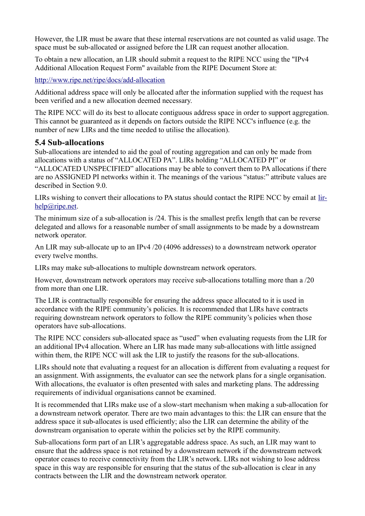However, the LIR must be aware that these internal reservations are not counted as valid usage. The space must be sub-allocated or assigned before the LIR can request another allocation.

To obtain a new allocation, an LIR should submit a request to the RIPE NCC using the "IPv4 Additional Allocation Request Form" available from the RIPE Document Store at:

<http://www.ripe.net/ripe/docs/add-allocation>

Additional address space will only be allocated after the information supplied with the request has been verified and a new allocation deemed necessary.

The RIPE NCC will do its best to allocate contiguous address space in order to support aggregation. This cannot be guaranteed as it depends on factors outside the RIPE NCC's influence (e.g. the number of new LIRs and the time needed to utilise the allocation).

#### <span id="page-3-0"></span>**5.4 Sub-allocations**

Sub-allocations are intended to aid the goal of routing aggregation and can only be made from allocations with a status of "ALLOCATED PA". LIRs holding "ALLOCATED PI" or "ALLOCATED UNSPECIFIED" allocations may be able to convert them to PA allocations if there are no ASSIGNED PI networks within it. The meanings of the various "status:" attribute values are described in Section 9.0.

LIRs wishing to convert their allocations to PA status should contact the RIPE NCC by email at [lir](mailto:lir-help@ripe.net)[help@ripe.net.](mailto:lir-help@ripe.net)

The minimum size of a sub-allocation is /24. This is the smallest prefix length that can be reverse delegated and allows for a reasonable number of small assignments to be made by a downstream network operator.

An LIR may sub-allocate up to an IPv4 /20 (4096 addresses) to a downstream network operator every twelve months.

LIRs may make sub-allocations to multiple downstream network operators.

However, downstream network operators may receive sub-allocations totalling more than a /20 from more than one LIR.

The LIR is contractually responsible for ensuring the address space allocated to it is used in accordance with the RIPE community's policies. It is recommended that LIRs have contracts requiring downstream network operators to follow the RIPE community's policies when those operators have sub-allocations.

The RIPE NCC considers sub-allocated space as "used" when evaluating requests from the LIR for an additional IPv4 allocation. Where an LIR has made many sub-allocations with little assigned within them, the RIPE NCC will ask the LIR to justify the reasons for the sub-allocations.

LIRs should note that evaluating a request for an allocation is different from evaluating a request for an assignment. With assignments, the evaluator can see the network plans for a single organisation. With allocations, the evaluator is often presented with sales and marketing plans. The addressing requirements of individual organisations cannot be examined.

It is recommended that LIRs make use of a slow-start mechanism when making a sub-allocation for a downstream network operator. There are two main advantages to this: the LIR can ensure that the address space it sub-allocates is used efficiently; also the LIR can determine the ability of the downstream organisation to operate within the policies set by the RIPE community.

Sub-allocations form part of an LIR's aggregatable address space. As such, an LIR may want to ensure that the address space is not retained by a downstream network if the downstream network operator ceases to receive connectivity from the LIR's network. LIRs not wishing to lose address space in this way are responsible for ensuring that the status of the sub-allocation is clear in any contracts between the LIR and the downstream network operator.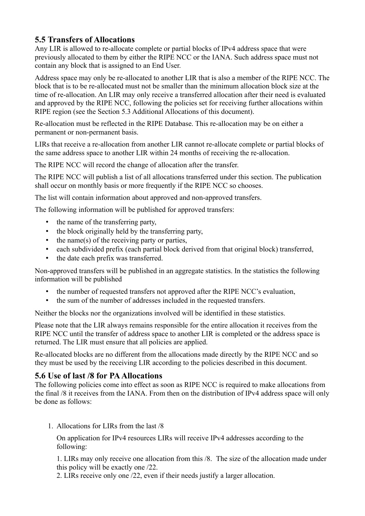# <span id="page-4-1"></span>**5.5 Transfers of Allocations**

Any LIR is allowed to re-allocate complete or partial blocks of IPv4 address space that were previously allocated to them by either the RIPE NCC or the IANA. Such address space must not contain any block that is assigned to an End User.

Address space may only be re-allocated to another LIR that is also a member of the RIPE NCC. The block that is to be re-allocated must not be smaller than the minimum allocation block size at the time of re-allocation. An LIR may only receive a transferred allocation after their need is evaluated and approved by the RIPE NCC, following the policies set for receiving further allocations within RIPE region (see the Section 5.3 Additional Allocations of this document).

Re-allocation must be reflected in the RIPE Database. This re-allocation may be on either a permanent or non-permanent basis.

LIRs that receive a re-allocation from another LIR cannot re-allocate complete or partial blocks of the same address space to another LIR within 24 months of receiving the re-allocation.

The RIPE NCC will record the change of allocation after the transfer.

The RIPE NCC will publish a list of all allocations transferred under this section. The publication shall occur on monthly basis or more frequently if the RIPE NCC so chooses.

The list will contain information about approved and non-approved transfers.

The following information will be published for approved transfers:

- the name of the transferring party,
- the block originally held by the transferring party,
- the name(s) of the receiving party or parties,
- each subdivided prefix (each partial block derived from that original block) transferred,
- the date each prefix was transferred.

Non-approved transfers will be published in an aggregate statistics. In the statistics the following information will be published

- the number of requested transfers not approved after the RIPE NCC's evaluation,
- the sum of the number of addresses included in the requested transfers.

Neither the blocks nor the organizations involved will be identified in these statistics.

Please note that the LIR always remains responsible for the entire allocation it receives from the RIPE NCC until the transfer of address space to another LIR is completed or the address space is returned. The LIR must ensure that all policies are applied.

Re-allocated blocks are no different from the allocations made directly by the RIPE NCC and so they must be used by the receiving LIR according to the policies described in this document.

## <span id="page-4-0"></span>**5.6 Use of last /8 for PA Allocations**

The following policies come into effect as soon as RIPE NCC is required to make allocations from the final /8 it receives from the IANA. From then on the distribution of IPv4 address space will only be done as follows:

1. Allocations for LIRs from the last /8

On application for IPv4 resources LIRs will receive IPv4 addresses according to the following:

1. LIRs may only receive one allocation from this /8. The size of the allocation made under this policy will be exactly one /22.

2. LIRs receive only one /22, even if their needs justify a larger allocation.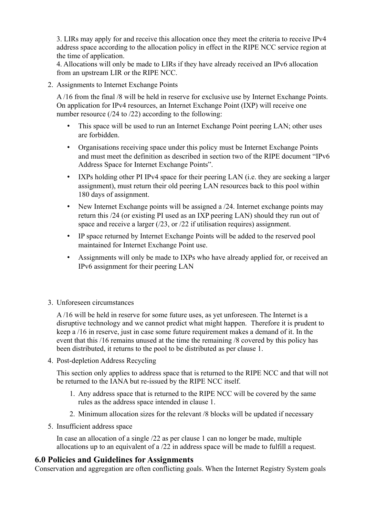3. LIRs may apply for and receive this allocation once they meet the criteria to receive IPv4 address space according to the allocation policy in effect in the RIPE NCC service region at the time of application.

4. Allocations will only be made to LIRs if they have already received an IPv6 allocation from an upstream LIR or the RIPE NCC.

2. Assignments to Internet Exchange Points

A /16 from the final /8 will be held in reserve for exclusive use by Internet Exchange Points. On application for IPv4 resources, an Internet Exchange Point (IXP) will receive one number resource (/24 to /22) according to the following:

- This space will be used to run an Internet Exchange Point peering LAN; other uses are forbidden.
- Organisations receiving space under this policy must be Internet Exchange Points and must meet the definition as described in section two of the RIPE document "IPv6 Address Space for Internet Exchange Points".
- IXPs holding other PI IPv4 space for their peering LAN (i.e. they are seeking a larger assignment), must return their old peering LAN resources back to this pool within 180 days of assignment.
- New Internet Exchange points will be assigned a  $/24$ . Internet exchange points may return this /24 (or existing PI used as an IXP peering LAN) should they run out of space and receive a larger (/23, or /22 if utilisation requires) assignment.
- IP space returned by Internet Exchange Points will be added to the reserved pool maintained for Internet Exchange Point use.
- Assignments will only be made to IXPs who have already applied for, or received an IPv6 assignment for their peering LAN
- 3. Unforeseen circumstances

A /16 will be held in reserve for some future uses, as yet unforeseen. The Internet is a disruptive technology and we cannot predict what might happen. Therefore it is prudent to keep a /16 in reserve, just in case some future requirement makes a demand of it. In the event that this /16 remains unused at the time the remaining /8 covered by this policy has been distributed, it returns to the pool to be distributed as per clause 1.

4. Post-depletion Address Recycling

This section only applies to address space that is returned to the RIPE NCC and that will not be returned to the IANA but re-issued by the RIPE NCC itself.

- 1. Any address space that is returned to the RIPE NCC will be covered by the same rules as the address space intended in clause 1.
- 2. Minimum allocation sizes for the relevant /8 blocks will be updated if necessary
- 5. Insufficient address space

In case an allocation of a single /22 as per clause 1 can no longer be made, multiple allocations up to an equivalent of a /22 in address space will be made to fulfill a request.

#### <span id="page-5-0"></span>**6.0 Policies and Guidelines for Assignments**

Conservation and aggregation are often conflicting goals. When the Internet Registry System goals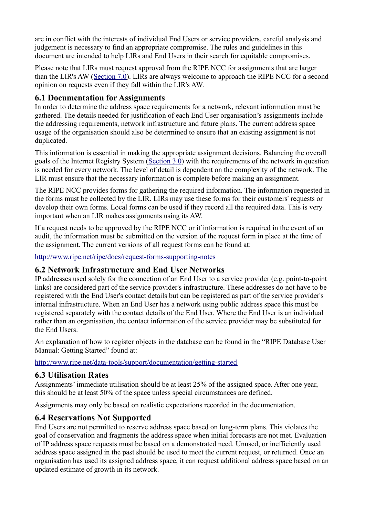are in conflict with the interests of individual End Users or service providers, careful analysis and judgement is necessary to find an appropriate compromise. The rules and guidelines in this document are intended to help LIRs and End Users in their search for equitable compromises.

Please note that LIRs must request approval from the RIPE NCC for assignments that are larger than the LIR's AW [\(Section 7.0\)](https://www.ripe.net/ripe/docs/ripe-582#bookmark25). LIRs are always welcome to approach the RIPE NCC for a second opinion on requests even if they fall within the LIR's AW.

## <span id="page-6-3"></span>**6.1 Documentation for Assignments**

In order to determine the address space requirements for a network, relevant information must be gathered. The details needed for justification of each End User organisation's assignments include the addressing requirements, network infrastructure and future plans. The current address space usage of the organisation should also be determined to ensure that an existing assignment is not duplicated.

This information is essential in making the appropriate assignment decisions. Balancing the overall goals of the Internet Registry System [\(Section 3.0\)](https://www.ripe.net/ripe/docs/ripe-582#bookmark3) with the requirements of the network in question is needed for every network. The level of detail is dependent on the complexity of the network. The LIR must ensure that the necessary information is complete before making an assignment.

The RIPE NCC provides forms for gathering the required information. The information requested in the forms must be collected by the LIR. LIRs may use these forms for their customers' requests or develop their own forms. Local forms can be used if they record all the required data. This is very important when an LIR makes assignments using its AW.

If a request needs to be approved by the RIPE NCC or if information is required in the event of an audit, the information must be submitted on the version of the request form in place at the time of the assignment. The current versions of all request forms can be found at:

<http://www.ripe.net/ripe/docs/request-forms-supporting-notes>

## <span id="page-6-2"></span>**6.2 Network Infrastructure and End User Networks**

IP addresses used solely for the connection of an End User to a service provider (e.g. point-to-point links) are considered part of the service provider's infrastructure. These addresses do not have to be registered with the End User's contact details but can be registered as part of the service provider's internal infrastructure. When an End User has a network using public address space this must be registered separately with the contact details of the End User. Where the End User is an individual rather than an organisation, the contact information of the service provider may be substituted for the End Users.

An explanation of how to register objects in the database can be found in the "RIPE Database User Manual: Getting Started" found at:

<http://www.ripe.net/data-tools/support/documentation/getting-started>

## <span id="page-6-1"></span>**6.3 Utilisation Rates**

Assignments' immediate utilisation should be at least 25% of the assigned space. After one year, this should be at least 50% of the space unless special circumstances are defined.

Assignments may only be based on realistic expectations recorded in the documentation.

## <span id="page-6-0"></span>**6.4 Reservations Not Supported**

End Users are not permitted to reserve address space based on long-term plans. This violates the goal of conservation and fragments the address space when initial forecasts are not met. Evaluation of IP address space requests must be based on a demonstrated need. Unused, or inefficiently used address space assigned in the past should be used to meet the current request, or returned. Once an organisation has used its assigned address space, it can request additional address space based on an updated estimate of growth in its network.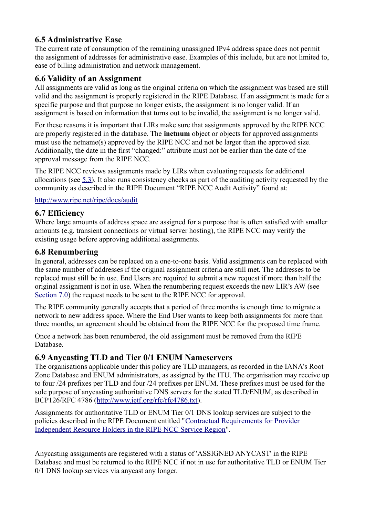# <span id="page-7-4"></span>**6.5 Administrative Ease**

The current rate of consumption of the remaining unassigned IPv4 address space does not permit the assignment of addresses for administrative ease. Examples of this include, but are not limited to, ease of billing administration and network management.

#### <span id="page-7-3"></span>**6.6 Validity of an Assignment**

All assignments are valid as long as the original criteria on which the assignment was based are still valid and the assignment is properly registered in the RIPE Database. If an assignment is made for a specific purpose and that purpose no longer exists, the assignment is no longer valid. If an assignment is based on information that turns out to be invalid, the assignment is no longer valid.

For these reasons it is important that LIRs make sure that assignments approved by the RIPE NCC are properly registered in the database. The **inetnum** object or objects for approved assignments must use the netname(s) approved by the RIPE NCC and not be larger than the approved size. Additionally, the date in the first "changed:" attribute must not be earlier than the date of the approval message from the RIPE NCC.

The RIPE NCC reviews assignments made by LIRs when evaluating requests for additional allocations (see [5.3\)](https://www.ripe.net/ripe/docs/ripe-582#bookmark10). It also runs consistency checks as part of the auditing activity requested by the community as described in the RIPE Document "RIPE NCC Audit Activity" found at:

<http://www.ripe.net/ripe/docs/audit>

#### <span id="page-7-2"></span>**6.7 Efficiency**

Where large amounts of address space are assigned for a purpose that is often satisfied with smaller amounts (e.g. transient connections or virtual server hosting), the RIPE NCC may verify the existing usage before approving additional assignments.

#### <span id="page-7-1"></span>**6.8 Renumbering**

In general, addresses can be replaced on a one-to-one basis. Valid assignments can be replaced with the same number of addresses if the original assignment criteria are still met. The addresses to be replaced must still be in use. End Users are required to submit a new request if more than half the original assignment is not in use. When the renumbering request exceeds the new LIR's AW (see [Section 7.0\)](https://www.ripe.net/ripe/docs/ripe-582#bookmark25) the request needs to be sent to the RIPE NCC for approval.

The RIPE community generally accepts that a period of three months is enough time to migrate a network to new address space. Where the End User wants to keep both assignments for more than three months, an agreement should be obtained from the RIPE NCC for the proposed time frame.

Once a network has been renumbered, the old assignment must be removed from the RIPE Database.

#### <span id="page-7-0"></span>**6.9 Anycasting TLD and Tier 0/1 ENUM Nameservers**

The organisations applicable under this policy are TLD managers, as recorded in the IANA's Root Zone Database and ENUM administrators, as assigned by the ITU. The organisation may receive up to four /24 prefixes per TLD and four /24 prefixes per ENUM. These prefixes must be used for the sole purpose of anycasting authoritative DNS servers for the stated TLD/ENUM, as described in BCP126/RFC 4786 [\(http://www.ietf.org/rfc/rfc4786.txt\)](http://www.ietf.org/rfc/rfc4786.txt).

Assignments for authoritative TLD or ENUM Tier 0/1 DNS lookup services are subject to the policies described in the RIPE Document entitled ["Contractual Requirements for Provider](https://www.ripe.net/ripe/docs/contract-req)  [Independent Resource Holders in the RIPE NCC Service Region"](https://www.ripe.net/ripe/docs/contract-req).

Anycasting assignments are registered with a status of 'ASSIGNED ANYCAST' in the RIPE Database and must be returned to the RIPE NCC if not in use for authoritative TLD or ENUM Tier 0/1 DNS lookup services via anycast any longer.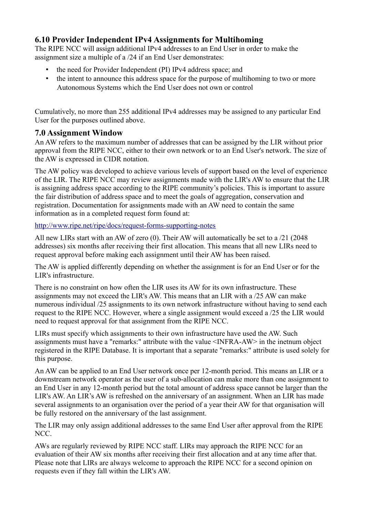# <span id="page-8-1"></span>**6.10 Provider Independent IPv4 Assignments for Multihoming**

The RIPE NCC will assign additional IPv4 addresses to an End User in order to make the assignment size a multiple of a /24 if an End User demonstrates:

- the need for Provider Independent (PI) IPv4 address space; and
- the intent to announce this address space for the purpose of multihoming to two or more Autonomous Systems which the End User does not own or control

Cumulatively, no more than 255 additional IPv4 addresses may be assigned to any particular End User for the purposes outlined above.

# <span id="page-8-0"></span>**7.0 Assignment Window**

An AW refers to the maximum number of addresses that can be assigned by the LIR without prior approval from the RIPE NCC, either to their own network or to an End User's network. The size of the AW is expressed in CIDR notation.

The AW policy was developed to achieve various levels of support based on the level of experience of the LIR. The RIPE NCC may review assignments made with the LIR's AW to ensure that the LIR is assigning address space according to the RIPE community's policies. This is important to assure the fair distribution of address space and to meet the goals of aggregation, conservation and registration. Documentation for assignments made with an AW need to contain the same information as in a completed request form found at:

<http://www.ripe.net/ripe/docs/request-forms-supporting-notes>

All new LIRs start with an AW of zero (0). Their AW will automatically be set to a /21 (2048 addresses) six months after receiving their first allocation. This means that all new LIRs need to request approval before making each assignment until their AW has been raised.

The AW is applied differently depending on whether the assignment is for an End User or for the LIR's infrastructure.

There is no constraint on how often the LIR uses its AW for its own infrastructure. These assignments may not exceed the LIR's AW. This means that an LIR with a /25 AW can make numerous individual /25 assignments to its own network infrastructure without having to send each request to the RIPE NCC. However, where a single assignment would exceed a /25 the LIR would need to request approval for that assignment from the RIPE NCC.

LIRs must specify which assignments to their own infrastructure have used the AW. Such assignments must have a "remarks:" attribute with the value <INFRA-AW> in the inetnum object registered in the RIPE Database. It is important that a separate "remarks:" attribute is used solely for this purpose.

An AW can be applied to an End User network once per 12-month period. This means an LIR or a downstream network operator as the user of a sub-allocation can make more than one assignment to an End User in any 12-month period but the total amount of address space cannot be larger than the LIR's AW. An LIR's AW is refreshed on the anniversary of an assignment. When an LIR has made several assignments to an organisation over the period of a year their AW for that organisation will be fully restored on the anniversary of the last assignment.

The LIR may only assign additional addresses to the same End User after approval from the RIPE NCC.

AWs are regularly reviewed by RIPE NCC staff. LIRs may approach the RIPE NCC for an evaluation of their AW six months after receiving their first allocation and at any time after that. Please note that LIRs are always welcome to approach the RIPE NCC for a second opinion on requests even if they fall within the LIR's AW.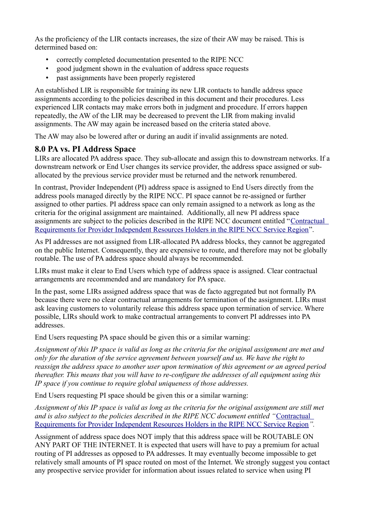As the proficiency of the LIR contacts increases, the size of their AW may be raised. This is determined based on:

- correctly completed documentation presented to the RIPE NCC
- good judgment shown in the evaluation of address space requests
- past assignments have been properly registered

An established LIR is responsible for training its new LIR contacts to handle address space assignments according to the policies described in this document and their procedures. Less experienced LIR contacts may make errors both in judgment and procedure. If errors happen repeatedly, the AW of the LIR may be decreased to prevent the LIR from making invalid assignments. The AW may again be increased based on the criteria stated above.

The AW may also be lowered after or during an audit if invalid assignments are noted.

#### <span id="page-9-0"></span>**8.0 PA vs. PI Address Space**

LIRs are allocated PA address space. They sub-allocate and assign this to downstream networks. If a downstream network or End User changes its service provider, the address space assigned or suballocated by the previous service provider must be returned and the network renumbered.

In contrast, Provider Independent (PI) address space is assigned to End Users directly from the address pools managed directly by the RIPE NCC. PI space cannot be re-assigned or further assigned to other parties. PI address space can only remain assigned to a network as long as the criteria for the original assignment are maintained. Additionally, all new PI address space assignments are subject to the policies described in the RIPE NCC document entitled "[Contractual](http://www.ripe.net/ripe/docs/contract-req)  [Requirements for Provider Independent Resources Holders in the RIPE NCC Service Region"](http://www.ripe.net/ripe/docs/contract-req).

As PI addresses are not assigned from LIR-allocated PA address blocks, they cannot be aggregated on the public Internet. Consequently, they are expensive to route, and therefore may not be globally routable. The use of PA address space should always be recommended.

LIRs must make it clear to End Users which type of address space is assigned. Clear contractual arrangements are recommended and are mandatory for PA space.

In the past, some LIRs assigned address space that was de facto aggregated but not formally PA because there were no clear contractual arrangements for termination of the assignment. LIRs must ask leaving customers to voluntarily release this address space upon termination of service. Where possible, LIRs should work to make contractual arrangements to convert PI addresses into PA addresses.

End Users requesting PA space should be given this or a similar warning:

*Assignment of this IP space is valid as long as the criteria for the original assignment are met and only for the duration of the service agreement between yourself and us. We have the right to reassign the address space to another user upon termination of this agreement or an agreed period thereafter. This means that you will have to re-configure the addresses of all equipment using this IP space if you continue to require global uniqueness of those addresses.*

End Users requesting PI space should be given this or a similar warning:

*Assignment of this IP space is valid as long as the criteria for the original assignment are still met and is also subject to the policies described in the RIPE NCC document entitled "*[Contractual](http://www.ripe.net/ripe/docs/contract-req)  [Requirements for Provider Independent Resources Holders in the RIPE NCC Service Region](http://www.ripe.net/ripe/docs/contract-req)*".*

Assignment of address space does NOT imply that this address space will be ROUTABLE ON ANY PART OF THE INTERNET. It is expected that users will have to pay a premium for actual routing of PI addresses as opposed to PA addresses. It may eventually become impossible to get relatively small amounts of PI space routed on most of the Internet. We strongly suggest you contact any prospective service provider for information about issues related to service when using PI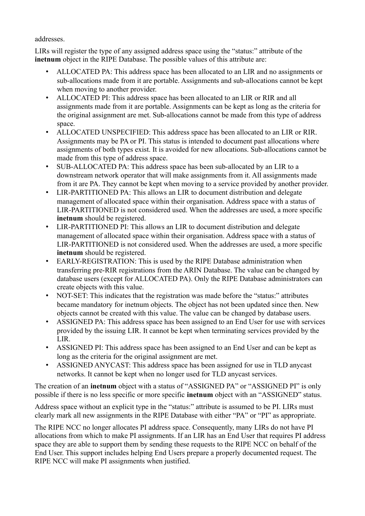addresses.

LIRs will register the type of any assigned address space using the "status:" attribute of the **inethum** object in the RIPE Database. The possible values of this attribute are:

- ALLOCATED PA: This address space has been allocated to an LIR and no assignments or sub-allocations made from it are portable. Assignments and sub-allocations cannot be kept when moving to another provider.
- ALLOCATED PI: This address space has been allocated to an LIR or RIR and all assignments made from it are portable. Assignments can be kept as long as the criteria for the original assignment are met. Sub-allocations cannot be made from this type of address space.
- ALLOCATED UNSPECIFIED: This address space has been allocated to an LIR or RIR. Assignments may be PA or PI. This status is intended to document past allocations where assignments of both types exist. It is avoided for new allocations. Sub-allocations cannot be made from this type of address space.
- SUB-ALLOCATED PA: This address space has been sub-allocated by an LIR to a downstream network operator that will make assignments from it. All assignments made from it are PA. They cannot be kept when moving to a service provided by another provider.
- LIR-PARTITIONED PA: This allows an LIR to document distribution and delegate management of allocated space within their organisation. Address space with a status of LIR-PARTITIONED is not considered used. When the addresses are used, a more specific **inetnum** should be registered.
- LIR-PARTITIONED PI: This allows an LIR to document distribution and delegate management of allocated space within their organisation. Address space with a status of LIR-PARTITIONED is not considered used. When the addresses are used, a more specific **inetnum** should be registered.
- EARLY-REGISTRATION: This is used by the RIPE Database administration when transferring pre-RIR registrations from the ARIN Database. The value can be changed by database users (except for ALLOCATED PA). Only the RIPE Database administrators can create objects with this value.
- NOT-SET: This indicates that the registration was made before the "status:" attributes became mandatory for inetnum objects. The object has not been updated since then. New objects cannot be created with this value. The value can be changed by database users.
- ASSIGNED PA: This address space has been assigned to an End User for use with services provided by the issuing LIR. It cannot be kept when terminating services provided by the LIR.
- ASSIGNED PI: This address space has been assigned to an End User and can be kept as long as the criteria for the original assignment are met.
- ASSIGNED ANYCAST: This address space has been assigned for use in TLD anycast networks. It cannot be kept when no longer used for TLD anycast services.

The creation of an **inetnum** object with a status of "ASSIGNED PA" or "ASSIGNED PI" is only possible if there is no less specific or more specific **inetnum** object with an "ASSIGNED" status.

Address space without an explicit type in the "status:" attribute is assumed to be PI. LIRs must clearly mark all new assignments in the RIPE Database with either "PA" or "PI" as appropriate.

The RIPE NCC no longer allocates PI address space. Consequently, many LIRs do not have PI allocations from which to make PI assignments. If an LIR has an End User that requires PI address space they are able to support them by sending these requests to the RIPE NCC on behalf of the End User. This support includes helping End Users prepare a properly documented request. The RIPE NCC will make PI assignments when justified.